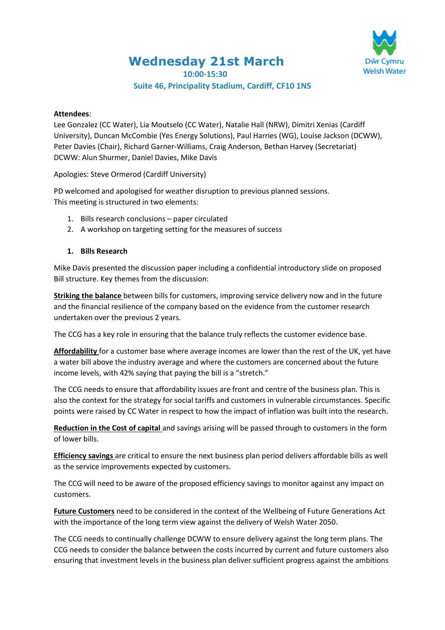**Wednesday 21st March**



**10:00-15:30**

# **Suite 46, Principality Stadium, Cardiff, CF10 1NS**

#### **Attendees**:

Lee Gonzalez (CC Water), Lia Moutselo (CC Water), Natalie Hall (NRW), Dimitri Xenias (Cardiff University), Duncan McCombie (Yes Energy Solutions), Paul Harries (WG), Louise Jackson (DCWW), Peter Davies (Chair), Richard Garner-Williams, Craig Anderson, Bethan Harvey (Secretariat) DCWW: Alun Shurmer, Daniel Davies, Mike Davis

Apologies: Steve Ormerod (Cardiff University)

PD welcomed and apologised for weather disruption to previous planned sessions. This meeting is structured in two elements:

- 1. Bills research conclusions paper circulated
- 2. A workshop on targeting setting for the measures of success

### **1. Bills Research**

Mike Davis presented the discussion paper including a confidential introductory slide on proposed Bill structure. Key themes from the discussion:

**Striking the balance** between bills for customers, improving service delivery now and in the future and the financial resilience of the company based on the evidence from the customer research undertaken over the previous 2 years.

The CCG has a key role in ensuring that the balance truly reflects the customer evidence base.

**Affordability** for a customer base where average incomes are lower than the rest of the UK, yet have a water bill above the industry average and where the customers are concerned about the future income levels, with 42% saying that paying the bill is a "stretch."

The CCG needs to ensure that affordability issues are front and centre of the business plan. This is also the context for the strategy for social tariffs and customers in vulnerable circumstances. Specific points were raised by CC Water in respect to how the impact of inflation was built into the research.

**Reduction in the Cost of capital** and savings arising will be passed through to customers in the form of lower bills.

**Efficiency savings** are critical to ensure the next business plan period delivers affordable bills as well as the service improvements expected by customers.

The CCG will need to be aware of the proposed efficiency savings to monitor against any impact on customers.

**Future Customers** need to be considered in the context of the Wellbeing of Future Generations Act with the importance of the long term view against the delivery of Welsh Water 2050.

The CCG needs to continually challenge DCWW to ensure delivery against the long term plans. The CCG needs to consider the balance between the costs incurred by current and future customers also ensuring that investment levels in the business plan deliver sufficient progress against the ambitions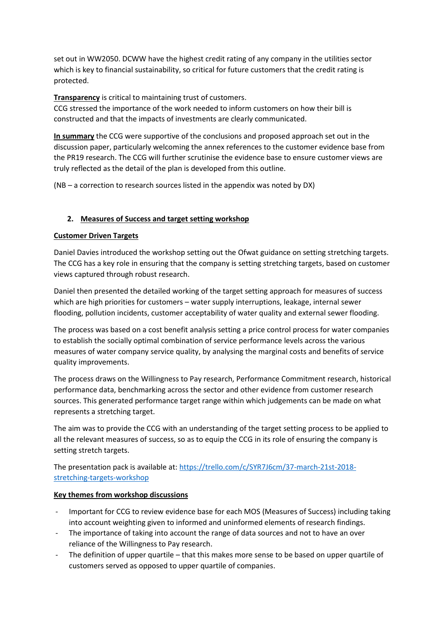set out in WW2050. DCWW have the highest credit rating of any company in the utilities sector which is key to financial sustainability, so critical for future customers that the credit rating is protected.

**Transparency** is critical to maintaining trust of customers.

CCG stressed the importance of the work needed to inform customers on how their bill is constructed and that the impacts of investments are clearly communicated.

**In summary** the CCG were supportive of the conclusions and proposed approach set out in the discussion paper, particularly welcoming the annex references to the customer evidence base from the PR19 research. The CCG will further scrutinise the evidence base to ensure customer views are truly reflected as the detail of the plan is developed from this outline.

(NB – a correction to research sources listed in the appendix was noted by DX)

# **2. Measures of Success and target setting workshop**

## **Customer Driven Targets**

Daniel Davies introduced the workshop setting out the Ofwat guidance on setting stretching targets. The CCG has a key role in ensuring that the company is setting stretching targets, based on customer views captured through robust research.

Daniel then presented the detailed working of the target setting approach for measures of success which are high priorities for customers – water supply interruptions, leakage, internal sewer flooding, pollution incidents, customer acceptability of water quality and external sewer flooding.

The process was based on a cost benefit analysis setting a price control process for water companies to establish the socially optimal combination of service performance levels across the various measures of water company service quality, by analysing the marginal costs and benefits of service quality improvements.

The process draws on the Willingness to Pay research, Performance Commitment research, historical performance data, benchmarking across the sector and other evidence from customer research sources. This generated performance target range within which judgements can be made on what represents a stretching target.

The aim was to provide the CCG with an understanding of the target setting process to be applied to all the relevant measures of success, so as to equip the CCG in its role of ensuring the company is setting stretch targets.

The presentation pack is available at: [https://trello.com/c/SYR7J6cm/37-march-21st-2018](https://trello.com/c/SYR7J6cm/37-march-21st-2018-stretching-targets-workshop) [stretching-targets-workshop](https://trello.com/c/SYR7J6cm/37-march-21st-2018-stretching-targets-workshop)

## **Key themes from workshop discussions**

- Important for CCG to review evidence base for each MOS (Measures of Success) including taking into account weighting given to informed and uninformed elements of research findings.
- The importance of taking into account the range of data sources and not to have an over reliance of the Willingness to Pay research.
- The definition of upper quartile that this makes more sense to be based on upper quartile of customers served as opposed to upper quartile of companies.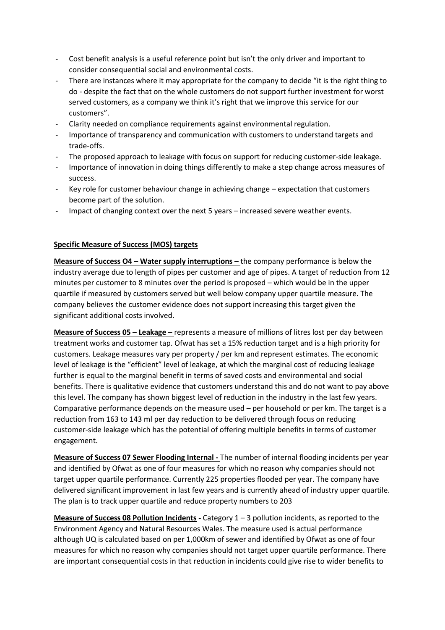- Cost benefit analysis is a useful reference point but isn't the only driver and important to consider consequential social and environmental costs.
- There are instances where it may appropriate for the company to decide "it is the right thing to do - despite the fact that on the whole customers do not support further investment for worst served customers, as a company we think it's right that we improve this service for our customers".
- Clarity needed on compliance requirements against environmental regulation.
- Importance of transparency and communication with customers to understand targets and trade-offs.
- The proposed approach to leakage with focus on support for reducing customer-side leakage.
- Importance of innovation in doing things differently to make a step change across measures of success.
- Key role for customer behaviour change in achieving change expectation that customers become part of the solution.
- Impact of changing context over the next 5 years increased severe weather events.

### **Specific Measure of Success (MOS) targets**

**Measure of Success O4 – Water supply interruptions –** the company performance is below the industry average due to length of pipes per customer and age of pipes. A target of reduction from 12 minutes per customer to 8 minutes over the period is proposed – which would be in the upper quartile if measured by customers served but well below company upper quartile measure. The company believes the customer evidence does not support increasing this target given the significant additional costs involved.

**Measure of Success 05 – Leakage –** represents a measure of millions of litres lost per day between treatment works and customer tap. Ofwat has set a 15% reduction target and is a high priority for customers. Leakage measures vary per property / per km and represent estimates. The economic level of leakage is the "efficient" level of leakage, at which the marginal cost of reducing leakage further is equal to the marginal benefit in terms of saved costs and environmental and social benefits. There is qualitative evidence that customers understand this and do not want to pay above this level. The company has shown biggest level of reduction in the industry in the last few years. Comparative performance depends on the measure used – per household or per km. The target is a reduction from 163 to 143 ml per day reduction to be delivered through focus on reducing customer-side leakage which has the potential of offering multiple benefits in terms of customer engagement.

**Measure of Success 07 Sewer Flooding Internal -** The number of internal flooding incidents per year and identified by Ofwat as one of four measures for which no reason why companies should not target upper quartile performance. Currently 225 properties flooded per year. The company have delivered significant improvement in last few years and is currently ahead of industry upper quartile. The plan is to track upper quartile and reduce property numbers to 203

**Measure of Success 08 Pollution Incidents -** Category 1 – 3 pollution incidents, as reported to the Environment Agency and Natural Resources Wales. The measure used is actual performance although UQ is calculated based on per 1,000km of sewer and identified by Ofwat as one of four measures for which no reason why companies should not target upper quartile performance. There are important consequential costs in that reduction in incidents could give rise to wider benefits to